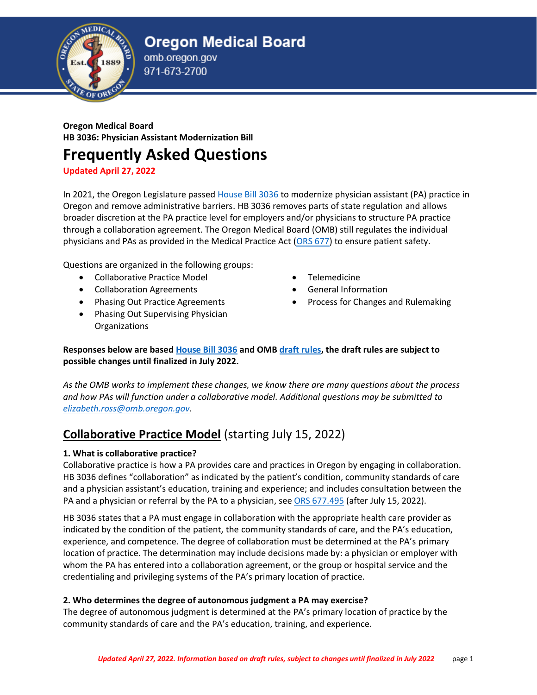



omb.oregon.gov

## **Oregon Medical Board HB 3036: Physician Assistant Modernization Bill**

# **Frequently Asked Questions**

**Updated April 27, 2022**

In 2021, the Oregon Legislature passed [House Bill 3036](https://olis.oregonlegislature.gov/liz/2021R1/Downloads/MeasureDocument/HB3036) to modernize physician assistant (PA) practice in Oregon and remove administrative barriers. HB 3036 removes parts of state regulation and allows broader discretion at the PA practice level for employers and/or physicians to structure PA practice through a collaboration agreement. The Oregon Medical Board (OMB) still regulates the individual physicians and PAs as provided in the Medical Practice Act [\(ORS 677\)](https://www.oregonlegislature.gov/bills_laws/ors/ors677.html) to ensure patient safety.

Questions are organized in the following groups:

- Collaborative Practice Model
- Collaboration Agreements
- Phasing Out Practice Agreements
- Phasing Out Supervising Physician Organizations
- Telemedicine
- General Information
- Process for Changes and Rulemaking

**Responses below are base[d House Bill 3036](https://olis.oregonlegislature.gov/liz/2021R1/Downloads/MeasureDocument/HB3036) and OM[B draft rules,](https://www.oregon.gov/omb/Topics-of-Interest/Documents/Draft%20847-050.pdf) the draft rules are subject to possible changes until finalized in July 2022.**

*As the OMB works to implement these changes, we know there are many questions about the process and how PAs will function under a collaborative model. Additional questions may be submitted to [elizabeth.ross@omb.oregon.gov.](mailto:elizabeth.ross@omb.oregon.gov)*

## **Collaborative Practice Model** (starting July 15, 2022)

### **1. What is collaborative practice?**

Collaborative practice is how a PA provides care and practices in Oregon by engaging in collaboration. HB 3036 defines "collaboration" as indicated by the patient's condition, community standards of care and a physician assistant's education, training and experience; and includes consultation between the PA and a physician or referral by the PA to a physician, se[e ORS 677.495](https://www.oregonlegislature.gov/bills_laws/ors/ors677.html) (after July 15, 2022).

HB 3036 states that a PA must engage in collaboration with the appropriate health care provider as indicated by the condition of the patient, the community standards of care, and the PA's education, experience, and competence. The degree of collaboration must be determined at the PA's primary location of practice. The determination may include decisions made by: a physician or employer with whom the PA has entered into a collaboration agreement, or the group or hospital service and the credentialing and privileging systems of the PA's primary location of practice.

#### **2. Who determines the degree of autonomous judgment a PA may exercise?**

The degree of autonomous judgment is determined at the PA's primary location of practice by the community standards of care and the PA's education, training, and experience.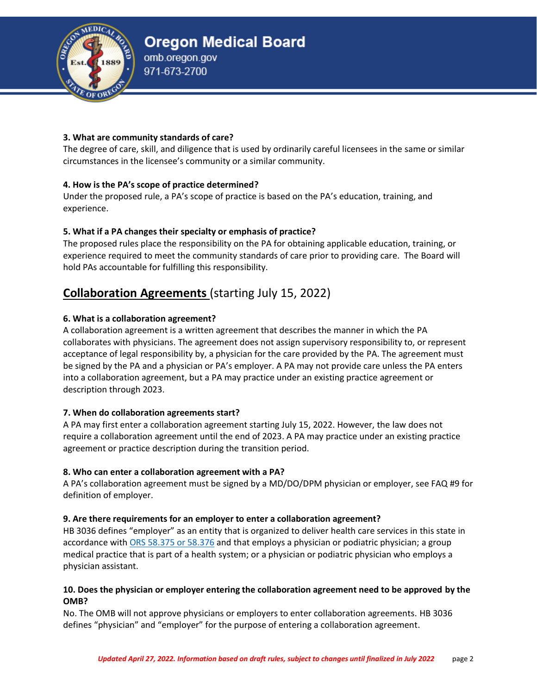

#### **3. What are community standards of care?**

The degree of care, skill, and diligence that is used by ordinarily careful licensees in the same or similar circumstances in the licensee's community or a similar community.

### **4. How is the PA's scope of practice determined?**

Under the proposed rule, a PA's scope of practice is based on the PA's education, training, and experience.

#### **5. What if a PA changes their specialty or emphasis of practice?**

The proposed rules place the responsibility on the PA for obtaining applicable education, training, or experience required to meet the community standards of care prior to providing care. The Board will hold PAs accountable for fulfilling this responsibility.

## **Collaboration Agreements** (starting July 15, 2022)

#### **6. What is a collaboration agreement?**

A collaboration agreement is a written agreement that describes the manner in which the PA collaborates with physicians. The agreement does not assign supervisory responsibility to, or represent acceptance of legal responsibility by, a physician for the care provided by the PA. The agreement must be signed by the PA and a physician or PA's employer. A PA may not provide care unless the PA enters into a collaboration agreement, but a PA may practice under an existing practice agreement or description through 2023.

### **7. When do collaboration agreements start?**

A PA may first enter a collaboration agreement starting July 15, 2022. However, the law does not require a collaboration agreement until the end of 2023. A PA may practice under an existing practice agreement or practice description during the transition period.

#### **8. Who can enter a collaboration agreement with a PA?**

A PA's collaboration agreement must be signed by a MD/DO/DPM physician or employer, see FAQ #9 for definition of employer.

#### **9. Are there requirements for an employer to enter a collaboration agreement?**

HB 3036 defines "employer" as an entity that is organized to deliver health care services in this state in accordance with [ORS 58.375 or 58.376](https://www.oregonlegislature.gov/bills_laws/ors/ors058.html) and that employs a physician or podiatric physician; a group medical practice that is part of a health system; or a physician or podiatric physician who employs a physician assistant.

#### **10. Does the physician or employer entering the collaboration agreement need to be approved by the OMB?**

No. The OMB will not approve physicians or employers to enter collaboration agreements. HB 3036 defines "physician" and "employer" for the purpose of entering a collaboration agreement.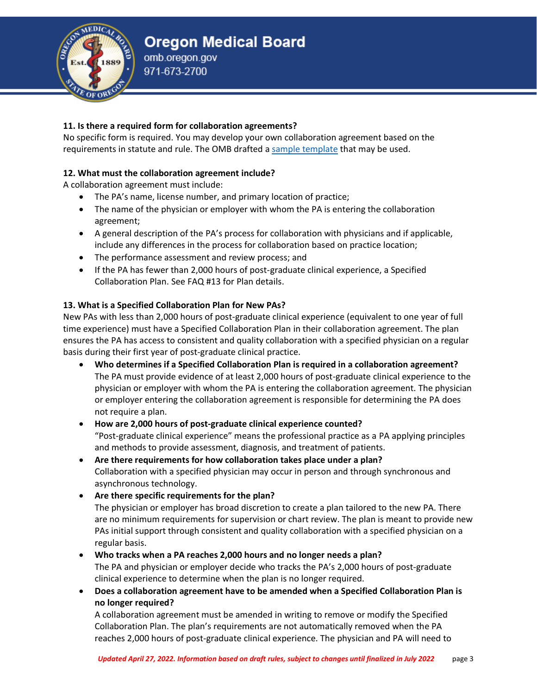### **11. Is there a required form for collaboration agreements?**

No specific form is required. You may develop your own collaboration agreement based on the requirements in statute and rule. The OMB drafted a [sample template](https://www.oregon.gov/omb/Topics-of-Interest/Documents/Sample%20CA%20Template.pdf) that may be used.

## **12. What must the collaboration agreement include?**

A collaboration agreement must include:

- The PA's name, license number, and primary location of practice;
- The name of the physician or employer with whom the PA is entering the collaboration agreement;
- A general description of the PA's process for collaboration with physicians and if applicable, include any differences in the process for collaboration based on practice location;
- The performance assessment and review process; and
- If the PA has fewer than 2,000 hours of post-graduate clinical experience, a Specified Collaboration Plan. See FAQ #13 for Plan details.

## **13. What is a Specified Collaboration Plan for New PAs?**

New PAs with less than 2,000 hours of post-graduate clinical experience (equivalent to one year of full time experience) must have a Specified Collaboration Plan in their collaboration agreement. The plan ensures the PA has access to consistent and quality collaboration with a specified physician on a regular basis during their first year of post-graduate clinical practice.

- **Who determines if a Specified Collaboration Plan is required in a collaboration agreement?** The PA must provide evidence of at least 2,000 hours of post-graduate clinical experience to the physician or employer with whom the PA is entering the collaboration agreement. The physician or employer entering the collaboration agreement is responsible for determining the PA does not require a plan.
- **How are 2,000 hours of post-graduate clinical experience counted?** "Post-graduate clinical experience" means the professional practice as a PA applying principles and methods to provide assessment, diagnosis, and treatment of patients.
- **Are there requirements for how collaboration takes place under a plan?** Collaboration with a specified physician may occur in person and through synchronous and asynchronous technology.
- **Are there specific requirements for the plan?** The physician or employer has broad discretion to create a plan tailored to the new PA. There are no minimum requirements for supervision or chart review. The plan is meant to provide new PAs initial support through consistent and quality collaboration with a specified physician on a regular basis.
- **Who tracks when a PA reaches 2,000 hours and no longer needs a plan?** The PA and physician or employer decide who tracks the PA's 2,000 hours of post-graduate clinical experience to determine when the plan is no longer required.
- **Does a collaboration agreement have to be amended when a Specified Collaboration Plan is no longer required?**

A collaboration agreement must be amended in writing to remove or modify the Specified Collaboration Plan. The plan's requirements are not automatically removed when the PA reaches 2,000 hours of post-graduate clinical experience. The physician and PA will need to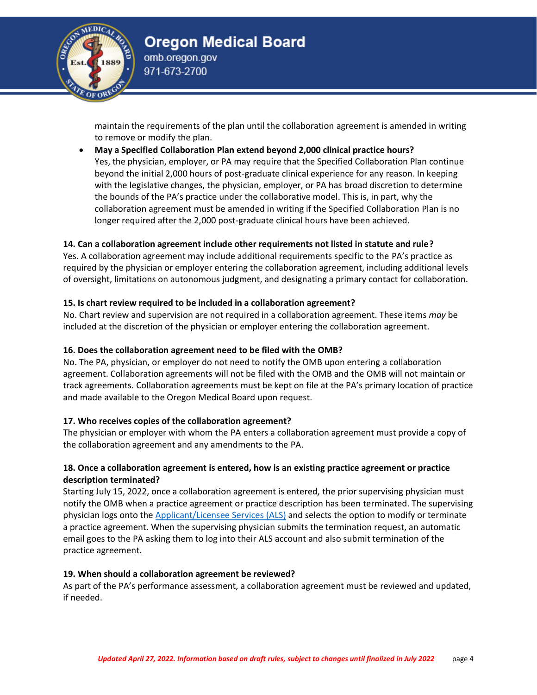

maintain the requirements of the plan until the collaboration agreement is amended in writing to remove or modify the plan.

• **May a Specified Collaboration Plan extend beyond 2,000 clinical practice hours?** Yes, the physician, employer, or PA may require that the Specified Collaboration Plan continue beyond the initial 2,000 hours of post-graduate clinical experience for any reason. In keeping with the legislative changes, the physician, employer, or PA has broad discretion to determine the bounds of the PA's practice under the collaborative model. This is, in part, why the collaboration agreement must be amended in writing if the Specified Collaboration Plan is no longer required after the 2,000 post-graduate clinical hours have been achieved.

#### **14. Can a collaboration agreement include other requirements not listed in statute and rule?**

Yes. A collaboration agreement may include additional requirements specific to the PA's practice as required by the physician or employer entering the collaboration agreement, including additional levels of oversight, limitations on autonomous judgment, and designating a primary contact for collaboration.

#### **15. Is chart review required to be included in a collaboration agreement?**

No. Chart review and supervision are not required in a collaboration agreement. These items *may* be included at the discretion of the physician or employer entering the collaboration agreement.

#### **16. Does the collaboration agreement need to be filed with the OMB?**

No. The PA, physician, or employer do not need to notify the OMB upon entering a collaboration agreement. Collaboration agreements will not be filed with the OMB and the OMB will not maintain or track agreements. Collaboration agreements must be kept on file at the PA's primary location of practice and made available to the Oregon Medical Board upon request.

#### **17. Who receives copies of the collaboration agreement?**

The physician or employer with whom the PA enters a collaboration agreement must provide a copy of the collaboration agreement and any amendments to the PA.

#### **18. Once a collaboration agreement is entered, how is an existing practice agreement or practice description terminated?**

Starting July 15, 2022, once a collaboration agreement is entered, the prior supervising physician must notify the OMB when a practice agreement or practice description has been terminated. The supervising physician logs onto the [Applicant/Licensee Services \(ALS\)](https://omb.oregon.gov/Clients/ORMB/Private/OnlineServices/Login.aspx) and selects the option to modify or terminate a practice agreement. When the supervising physician submits the termination request, an automatic email goes to the PA asking them to log into their ALS account and also submit termination of the practice agreement.

#### **19. When should a collaboration agreement be reviewed?**

As part of the PA's performance assessment, a collaboration agreement must be reviewed and updated, if needed.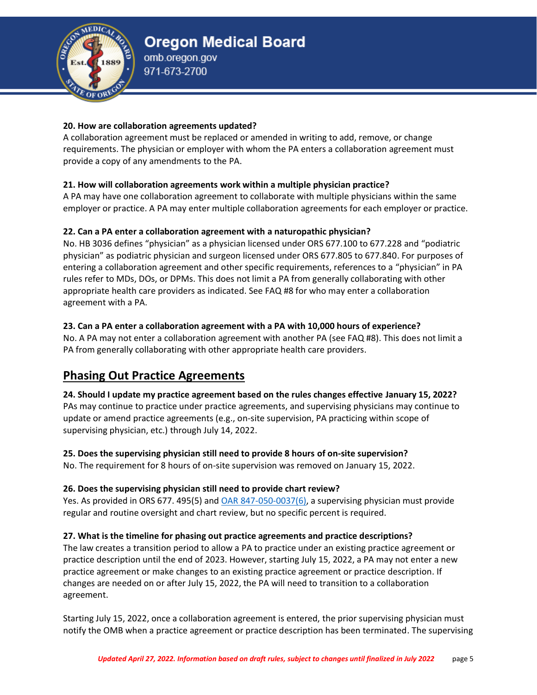

#### **20. How are collaboration agreements updated?**

A collaboration agreement must be replaced or amended in writing to add, remove, or change requirements. The physician or employer with whom the PA enters a collaboration agreement must provide a copy of any amendments to the PA.

## **21. How will collaboration agreements work within a multiple physician practice?**

A PA may have one collaboration agreement to collaborate with multiple physicians within the same employer or practice. A PA may enter multiple collaboration agreements for each employer or practice.

## **22. Can a PA enter a collaboration agreement with a naturopathic physician?**

No. HB 3036 defines "physician" as a physician licensed under ORS 677.100 to 677.228 and "podiatric physician" as podiatric physician and surgeon licensed under ORS 677.805 to 677.840. For purposes of entering a collaboration agreement and other specific requirements, references to a "physician" in PA rules refer to MDs, DOs, or DPMs. This does not limit a PA from generally collaborating with other appropriate health care providers as indicated. See FAQ #8 for who may enter a collaboration agreement with a PA.

## **23. Can a PA enter a collaboration agreement with a PA with 10,000 hours of experience?**

No. A PA may not enter a collaboration agreement with another PA (see FAQ #8). This does not limit a PA from generally collaborating with other appropriate health care providers.

## **Phasing Out Practice Agreements**

### **24. Should I update my practice agreement based on the rules changes effective January 15, 2022?**

PAs may continue to practice under practice agreements, and supervising physicians may continue to update or amend practice agreements (e.g., on-site supervision, PA practicing within scope of supervising physician, etc.) through July 14, 2022.

### **25. Does the supervising physician still need to provide 8 hours of on-site supervision?**

No. The requirement for 8 hours of on-site supervision was removed on January 15, 2022.

## **26. Does the supervising physician still need to provide chart review?**

Yes. As provided in ORS 677. 495(5) and **OAR 847-050-0037(6)**, a supervising physician must provide regular and routine oversight and chart review, but no specific percent is required.

### **27. What is the timeline for phasing out practice agreements and practice descriptions?**

The law creates a transition period to allow a PA to practice under an existing practice agreement or practice description until the end of 2023. However, starting July 15, 2022, a PA may not enter a new practice agreement or make changes to an existing practice agreement or practice description. If changes are needed on or after July 15, 2022, the PA will need to transition to a collaboration agreement.

Starting July 15, 2022, once a collaboration agreement is entered, the prior supervising physician must notify the OMB when a practice agreement or practice description has been terminated. The supervising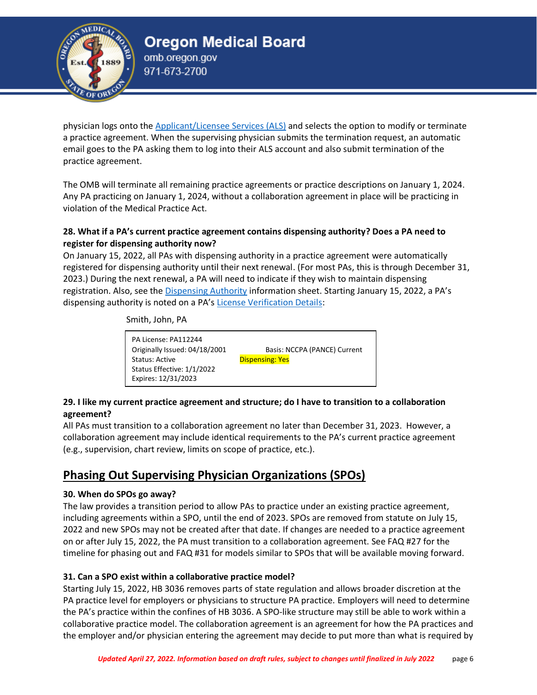

physician logs onto the [Applicant/Licensee Services \(ALS\)](https://omb.oregon.gov/Clients/ORMB/Private/OnlineServices/Login.aspx) and selects the option to modify or terminate a practice agreement. When the supervising physician submits the termination request, an automatic email goes to the PA asking them to log into their ALS account and also submit termination of the practice agreement.

The OMB will terminate all remaining practice agreements or practice descriptions on January 1, 2024. Any PA practicing on January 1, 2024, without a collaboration agreement in place will be practicing in violation of the Medical Practice Act.

### **28. What if a PA's current practice agreement contains dispensing authority? Does a PA need to register for dispensing authority now?**

On January 15, 2022, all PAs with dispensing authority in a practice agreement were automatically registered for dispensing authority until their next renewal. (For most PAs, this is through December 31, 2023.) During the next renewal, a PA will need to indicate if they wish to maintain dispensing registration. Also, see the [Dispensing Authority](https://www.oregon.gov/omb/Licensing/Documents/OMB%20Physician%20and%20PA%20Dispensing.pdf) information sheet. Starting January 15, 2022, a PA's dispensing authority is noted on a PA's [License Verification Details:](https://omb.oregon.gov/search)

Smith, John, PA

PA License: PA112244 Originally Issued: 04/18/2001 Basis: NCCPA (PANCE) Current Status: Active **Dispensing: Yes** Status Effective: 1/1/2022 Expires: 12/31/2023

### **29. I like my current practice agreement and structure; do I have to transition to a collaboration agreement?**

All PAs must transition to a collaboration agreement no later than December 31, 2023. However, a collaboration agreement may include identical requirements to the PA's current practice agreement (e.g., supervision, chart review, limits on scope of practice, etc.).

## **Phasing Out Supervising Physician Organizations (SPOs)**

### **30. When do SPOs go away?**

The law provides a transition period to allow PAs to practice under an existing practice agreement, including agreements within a SPO, until the end of 2023. SPOs are removed from statute on July 15, 2022 and new SPOs may not be created after that date. If changes are needed to a practice agreement on or after July 15, 2022, the PA must transition to a collaboration agreement. See FAQ #27 for the timeline for phasing out and FAQ #31 for models similar to SPOs that will be available moving forward.

### **31. Can a SPO exist within a collaborative practice model?**

Starting July 15, 2022, HB 3036 removes parts of state regulation and allows broader discretion at the PA practice level for employers or physicians to structure PA practice. Employers will need to determine the PA's practice within the confines of HB 3036. A SPO-like structure may still be able to work within a collaborative practice model. The collaboration agreement is an agreement for how the PA practices and the employer and/or physician entering the agreement may decide to put more than what is required by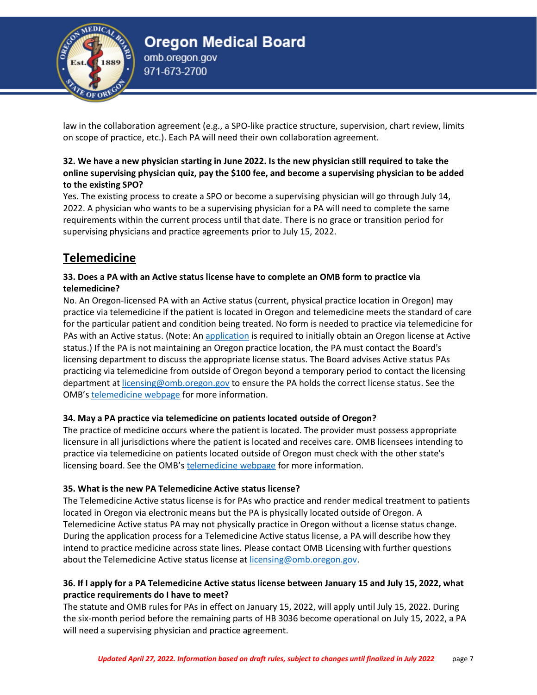

law in the collaboration agreement (e.g., a SPO-like practice structure, supervision, chart review, limits on scope of practice, etc.). Each PA will need their own collaboration agreement.

### **32. We have a new physician starting in June 2022. Is the new physician still required to take the online supervising physician quiz, pay the \$100 fee, and become a supervising physician to be added to the existing SPO?**

Yes. The existing process to create a SPO or become a supervising physician will go through July 14, 2022. A physician who wants to be a supervising physician for a PA will need to complete the same requirements within the current process until that date. There is no grace or transition period for supervising physicians and practice agreements prior to July 15, 2022.

## **Telemedicine**

### **33. Does a PA with an Active status license have to complete an OMB form to practice via telemedicine?**

No. An Oregon-licensed PA with an Active status (current, physical practice location in Oregon) may practice via telemedicine if the patient is located in Oregon and telemedicine meets the standard of care for the particular patient and condition being treated. No form is needed to practice via telemedicine for PAs with an Active status. (Note: An [application](https://www.oregon.gov/omb/Licensing/Pages/Physician-Assistant.aspx) is required to initially obtain an Oregon license at Active status.) If the PA is not maintaining an Oregon practice location, the PA must contact the Board's licensing department to discuss the appropriate license status. The Board advises Active status PAs practicing via telemedicine from outside of Oregon beyond a temporary period to contact the licensing department at [licensing@omb.oregon.gov](mailto:licensing@omb.oregon.gov) to ensure the PA holds the correct license status. See the OMB's [telemedicine webpage](https://www.oregon.gov/omb/Topics-of-Interest/Pages/Telemedicine.aspx) for more information.

## **34. May a PA practice via telemedicine on patients located outside of Oregon?**

The practice of medicine occurs where the patient is located. The provider must possess appropriate licensure in all jurisdictions where the patient is located and receives care. OMB licensees intending to practice via telemedicine on patients located outside of Oregon must check with the other state's licensing board. See the OMB's [telemedicine webpage](https://www.oregon.gov/omb/Topics-of-Interest/Pages/Telemedicine.aspx) for more information.

### **35. What is the new PA Telemedicine Active status license?**

The Telemedicine Active status license is for PAs who practice and render medical treatment to patients located in Oregon via electronic means but the PA is physically located outside of Oregon. A Telemedicine Active status PA may not physically practice in Oregon without a license status change. During the application process for a Telemedicine Active status license, a PA will describe how they intend to practice medicine across state lines. Please contact OMB Licensing with further questions about the Telemedicine Active status license at [licensing@omb.oregon.gov.](mailto:licensing@omb.oregon.gov)

## **36. If I apply for a PA Telemedicine Active status license between January 15 and July 15, 2022, what practice requirements do I have to meet?**

The statute and OMB rules for PAs in effect on January 15, 2022, will apply until July 15, 2022. During the six-month period before the remaining parts of HB 3036 become operational on July 15, 2022, a PA will need a supervising physician and practice agreement.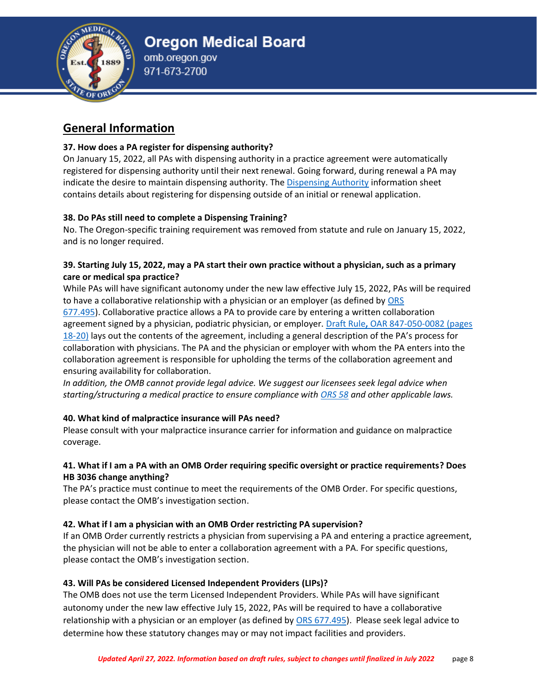

## **General Information**

### **37. How does a PA register for dispensing authority?**

On January 15, 2022, all PAs with dispensing authority in a practice agreement were automatically registered for dispensing authority until their next renewal. Going forward, during renewal a PA may indicate the desire to maintain dispensing authority. The [Dispensing Authority](https://www.oregon.gov/omb/Licensing/Documents/OMB%20Physician%20and%20PA%20Dispensing.pdf) information sheet contains details about registering for dispensing outside of an initial or renewal application.

## **38. Do PAs still need to complete a Dispensing Training?**

No. The Oregon-specific training requirement was removed from statute and rule on January 15, 2022, and is no longer required.

## **39. Starting July 15, 2022, may a PA start their own practice without a physician, such as a primary care or medical spa practice?**

While PAs will have significant autonomy under the new law effective July 15, 2022, PAs will be required to have a collaborative relationship with a physician or an employer (as defined by [ORS](https://www.oregonlegislature.gov/bills_laws/ors/ors677.html)  [677.495\)](https://www.oregonlegislature.gov/bills_laws/ors/ors677.html). Collaborative practice allows a PA to provide care by entering a written collaboration agreement signed by a physician, podiatric physician, or employer. Draft Rule**,** [OAR 847-050-0082 \(pages](https://www.oregon.gov/omb/Topics-of-Interest/Documents/Draft%20847-050.pdf)  [18-20\)](https://www.oregon.gov/omb/Topics-of-Interest/Documents/Draft%20847-050.pdf) lays out the contents of the agreement, including a general description of the PA's process for collaboration with physicians. The PA and the physician or employer with whom the PA enters into the collaboration agreement is responsible for upholding the terms of the collaboration agreement and ensuring availability for collaboration.

*In addition, the OMB cannot provide legal advice. We suggest our licensees seek legal advice when starting/structuring a medical practice to ensure compliance with [ORS 58](https://www.oregonlegislature.gov/bills_laws/ors/ors058.html) and other applicable laws.*

## **40. What kind of malpractice insurance will PAs need?**

Please consult with your malpractice insurance carrier for information and guidance on malpractice coverage.

### **41. What if I am a PA with an OMB Order requiring specific oversight or practice requirements? Does HB 3036 change anything?**

The PA's practice must continue to meet the requirements of the OMB Order. For specific questions, please contact the OMB's investigation section.

### **42. What if I am a physician with an OMB Order restricting PA supervision?**

If an OMB Order currently restricts a physician from supervising a PA and entering a practice agreement, the physician will not be able to enter a collaboration agreement with a PA. For specific questions, please contact the OMB's investigation section.

### **43. Will PAs be considered Licensed Independent Providers (LIPs)?**

The OMB does not use the term Licensed Independent Providers. While PAs will have significant autonomy under the new law effective July 15, 2022, PAs will be required to have a collaborative relationship with a physician or an employer (as defined by [ORS 677.495\)](https://www.oregonlegislature.gov/bills_laws/ors/ors677.html). Please seek legal advice to determine how these statutory changes may or may not impact facilities and providers.